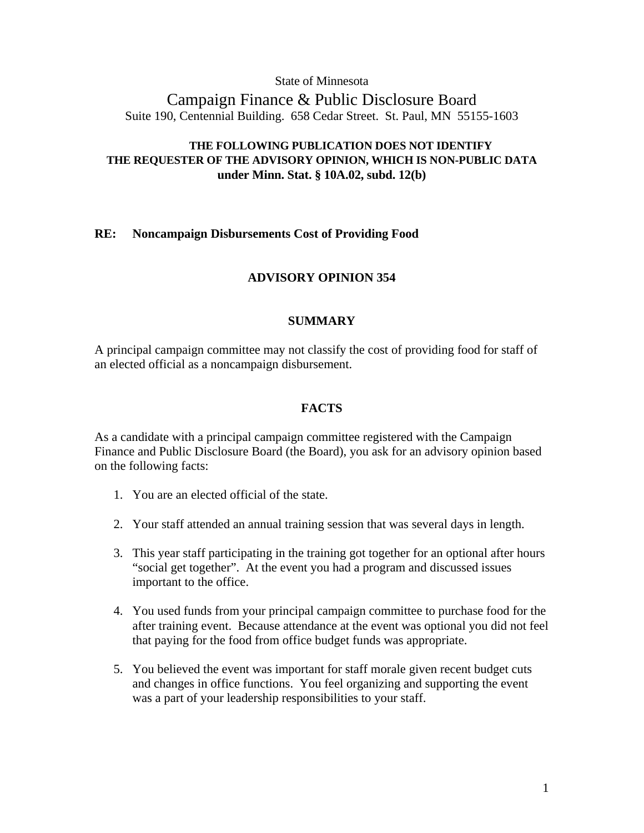## State of Minnesota

Campaign Finance & Public Disclosure Board Suite 190, Centennial Building. 658 Cedar Street. St. Paul, MN 55155-1603

## **THE FOLLOWING PUBLICATION DOES NOT IDENTIFY THE REQUESTER OF THE ADVISORY OPINION, WHICH IS NON-PUBLIC DATA under Minn. Stat. § 10A.02, subd. 12(b)**

## **RE: Noncampaign Disbursements Cost of Providing Food**

## **ADVISORY OPINION 354**

## **SUMMARY**

A principal campaign committee may not classify the cost of providing food for staff of an elected official as a noncampaign disbursement.

## **FACTS**

As a candidate with a principal campaign committee registered with the Campaign Finance and Public Disclosure Board (the Board), you ask for an advisory opinion based on the following facts:

- 1. You are an elected official of the state.
- 2. Your staff attended an annual training session that was several days in length.
- 3. This year staff participating in the training got together for an optional after hours "social get together". At the event you had a program and discussed issues important to the office.
- 4. You used funds from your principal campaign committee to purchase food for the after training event. Because attendance at the event was optional you did not feel that paying for the food from office budget funds was appropriate.
- 5. You believed the event was important for staff morale given recent budget cuts and changes in office functions. You feel organizing and supporting the event was a part of your leadership responsibilities to your staff.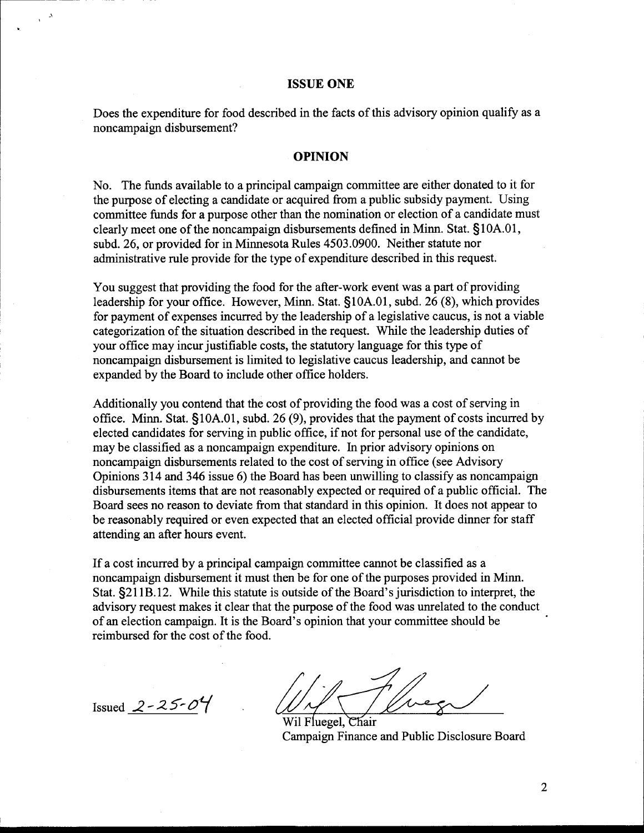#### **ISSUE ONE**

Does the expenditure for food described in the facts of this advisory opinion qualify as a noncampaign disbursement?

#### **OPINION**

No. The funds available to a principal campaign committee are either donated to it for the purpose of electing a candidate or acquired from a public subsidy payment. Using committee funds for a purpose other than the nomination or election of a candidate must clearly meet one of the noncampaign disbursements defined in Minn. Stat. §10A.01, subd. 26, or provided for in Minnesota Rules 4503.0900. Neither statute nor administrative rule provide for the type of expenditure described in this request.

You suggest that providing the food for the after-work event was a part of providing leadership for your office. However, Minn. Stat. §10A.01, subd. 26 **(8),** which provides for payment of expenses incurred by the leadership of a legislative caucus, is not a viable categorization of the situation described in the request. While the leadership duties of your office may incur justifiable costs, the statutory language for this type of noncampaign disbursement is limited to legislative caucus leadership, and cannot be expanded by the Board to include other office holders.

Additionally you contend that the cost of providing the food was a cost of serving in office. Minn. Stat. §10A.01, subd. 26 **(9),** provides that the payment of costs incurred by elected candidates for serving in public office, if not for personal use of the candidate, may be classified as a noncampaign expenditure. In prior advisory opinions on noncampaign disbursements related to the cost of serving in office (see Advisory Opinions 3 14 and 346 issue 6) the Board has been unwilling to classify as noncampaign disbursements items that are not reasonably expected or required of a public official. The Board sees no reason to deviate from that standard in this opinion. It does not appear to be reasonably required or even expected that an elected official provide dinner for staff attending an after hours event.

If a cost incurred by a principal campaign committee cannot be classified as a noncampaign disbursement it must then be for one of the purposes provided in Minn. Stat. \$21 1B. 12. While this statute is outside of the Board's jurisdiction to interpret, the advisory request makes it clear that the purpose of the food was unrelated to the conduct of an election campaign. It is the Board's opinion that your committee should be reimbursed for the cost of the food.

 $I_{\text{I} \text{Sued}}$   $2 - 25 - 04$  . Will Fluegel, Chair

campaign Finance and Public Disclosure Board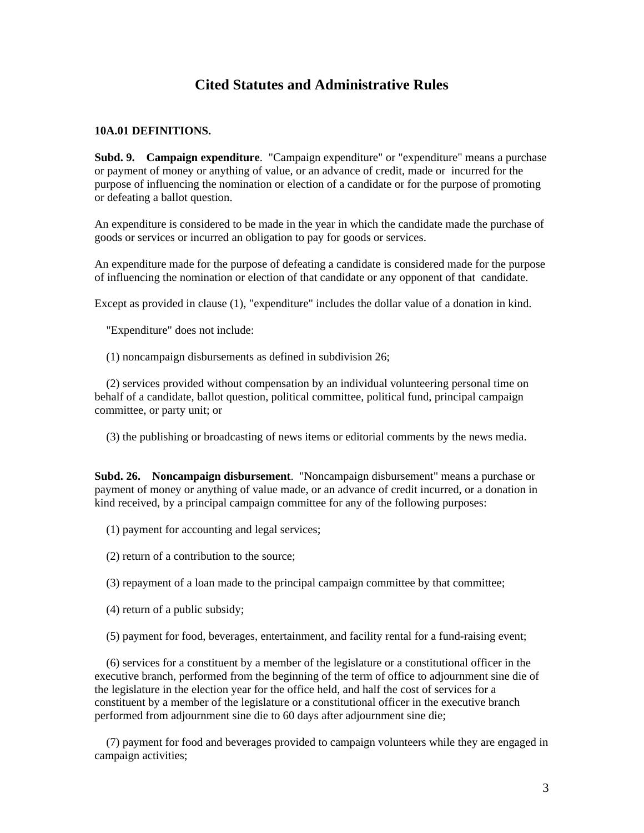# **Cited Statutes and Administrative Rules**

#### **10A.01 DEFINITIONS.**

**Subd. 9. Campaign expenditure**. "Campaign expenditure" or "expenditure" means a purchase or payment of money or anything of value, or an advance of credit, made or incurred for the purpose of influencing the nomination or election of a candidate or for the purpose of promoting or defeating a ballot question.

An expenditure is considered to be made in the year in which the candidate made the purchase of goods or services or incurred an obligation to pay for goods or services.

An expenditure made for the purpose of defeating a candidate is considered made for the purpose of influencing the nomination or election of that candidate or any opponent of that candidate.

Except as provided in clause (1), "expenditure" includes the dollar value of a donation in kind.

"Expenditure" does not include:

(1) noncampaign disbursements as defined in subdivision 26;

 (2) services provided without compensation by an individual volunteering personal time on behalf of a candidate, ballot question, political committee, political fund, principal campaign committee, or party unit; or

(3) the publishing or broadcasting of news items or editorial comments by the news media.

**Subd. 26. Noncampaign disbursement**. "Noncampaign disbursement" means a purchase or payment of money or anything of value made, or an advance of credit incurred, or a donation in kind received, by a principal campaign committee for any of the following purposes:

- (1) payment for accounting and legal services;
- (2) return of a contribution to the source;
- (3) repayment of a loan made to the principal campaign committee by that committee;
- (4) return of a public subsidy;
- (5) payment for food, beverages, entertainment, and facility rental for a fund-raising event;

 (6) services for a constituent by a member of the legislature or a constitutional officer in the executive branch, performed from the beginning of the term of office to adjournment sine die of the legislature in the election year for the office held, and half the cost of services for a constituent by a member of the legislature or a constitutional officer in the executive branch performed from adjournment sine die to 60 days after adjournment sine die;

 (7) payment for food and beverages provided to campaign volunteers while they are engaged in campaign activities;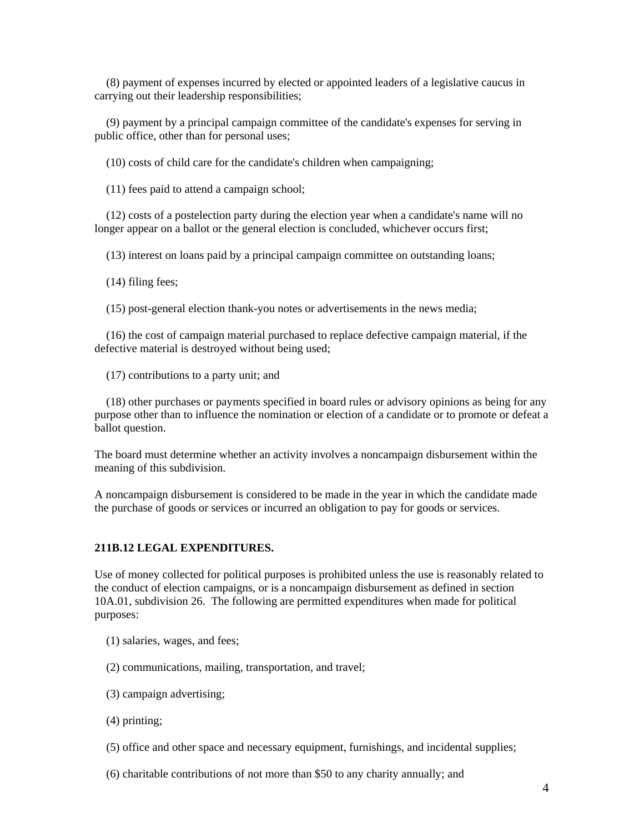(8) payment of expenses incurred by elected or appointed leaders of a legislative caucus in carrying out their leadership responsibilities;

 (9) payment by a principal campaign committee of the candidate's expenses for serving in public office, other than for personal uses;

(10) costs of child care for the candidate's children when campaigning;

(11) fees paid to attend a campaign school;

 (12) costs of a postelection party during the election year when a candidate's name will no longer appear on a ballot or the general election is concluded, whichever occurs first;

(13) interest on loans paid by a principal campaign committee on outstanding loans;

(14) filing fees;

(15) post-general election thank-you notes or advertisements in the news media;

 (16) the cost of campaign material purchased to replace defective campaign material, if the defective material is destroyed without being used;

(17) contributions to a party unit; and

 (18) other purchases or payments specified in board rules or advisory opinions as being for any purpose other than to influence the nomination or election of a candidate or to promote or defeat a ballot question.

The board must determine whether an activity involves a noncampaign disbursement within the meaning of this subdivision.

A noncampaign disbursement is considered to be made in the year in which the candidate made the purchase of goods or services or incurred an obligation to pay for goods or services.

#### **211B.12 LEGAL EXPENDITURES.**

Use of money collected for political purposes is prohibited unless the use is reasonably related to the conduct of election campaigns, or is a noncampaign disbursement as defined in section 10A.01, subdivision 26. The following are permitted expenditures when made for political purposes:

- (1) salaries, wages, and fees;
- (2) communications, mailing, transportation, and travel;
- (3) campaign advertising;
- (4) printing;
- (5) office and other space and necessary equipment, furnishings, and incidental supplies;
- (6) charitable contributions of not more than \$50 to any charity annually; and